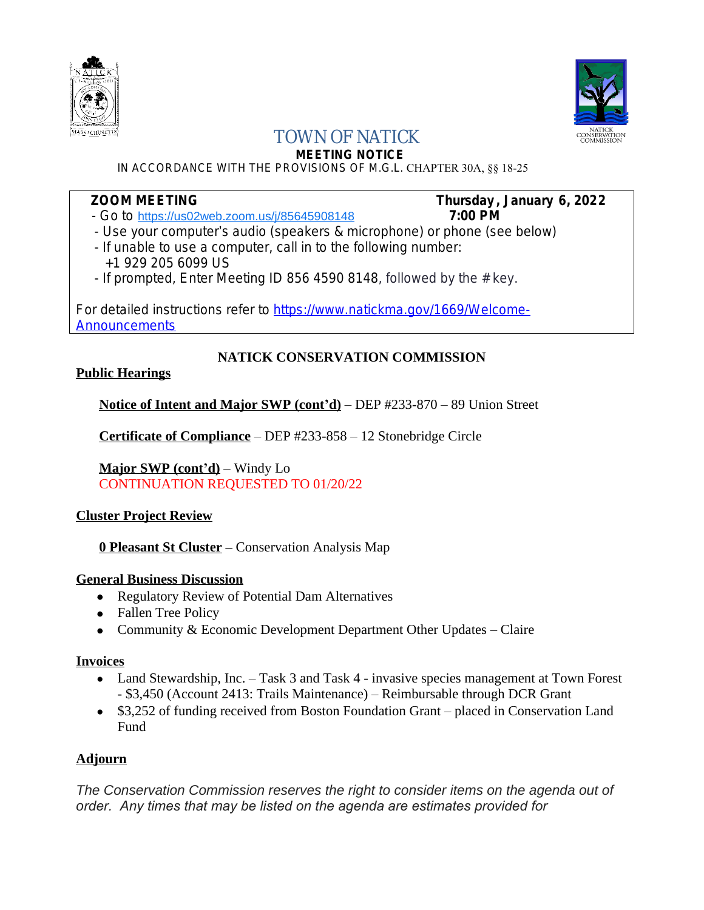



# TOWN OF NATICK

**MEETING NOTICE**

IN ACCORDANCE WITH THE PROVISIONS OF M.G.L. CHAPTER 30A, §§ 18-25

## **ZOOM MEETING Thursday , January 6, 2022**

- Go to <https://us02web.zoom.us/j/85645908148> **7:00 PM**
- Use your computer's audio (speakers & microphone) or phone (see below)
- If unable to use a computer, call in to the following number: +1 929 205 6099 US
- If prompted, Enter Meeting ID 856 4590 8148, followed by the  $#$  key.

For detailed instructions refer to [https://www.natickma.gov/1669/Welcome-](https://www.natickma.gov/1669/Welcome-Announcements)**Announcements** 

### **NATICK CONSERVATION COMMISSION**

#### **Public Hearings**

**Notice of Intent and Major SWP (cont'd)** – DEP #233-870 – 89 Union Street

**Certificate of Compliance** – DEP #233-858 – 12 Stonebridge Circle

**Major SWP (cont'd)** – Windy Lo CONTINUATION REQUESTED TO 01/20/22

#### **Cluster Project Review**

**0 Pleasant St Cluster –** Conservation Analysis Map

#### **General Business Discussion**

- Regulatory Review of Potential Dam Alternatives
- Fallen Tree Policy
- Community & Economic Development Department Other Updates Claire

#### **Invoices**

- Land Stewardship, Inc. Task 3 and Task 4 invasive species management at Town Forest - \$3,450 (Account 2413: Trails Maintenance) – Reimbursable through DCR Grant
- \$3,252 of funding received from Boston Foundation Grant placed in Conservation Land Fund

### **Adjourn**

*The Conservation Commission reserves the right to consider items on the agenda out of order. Any times that may be listed on the agenda are estimates provided for*